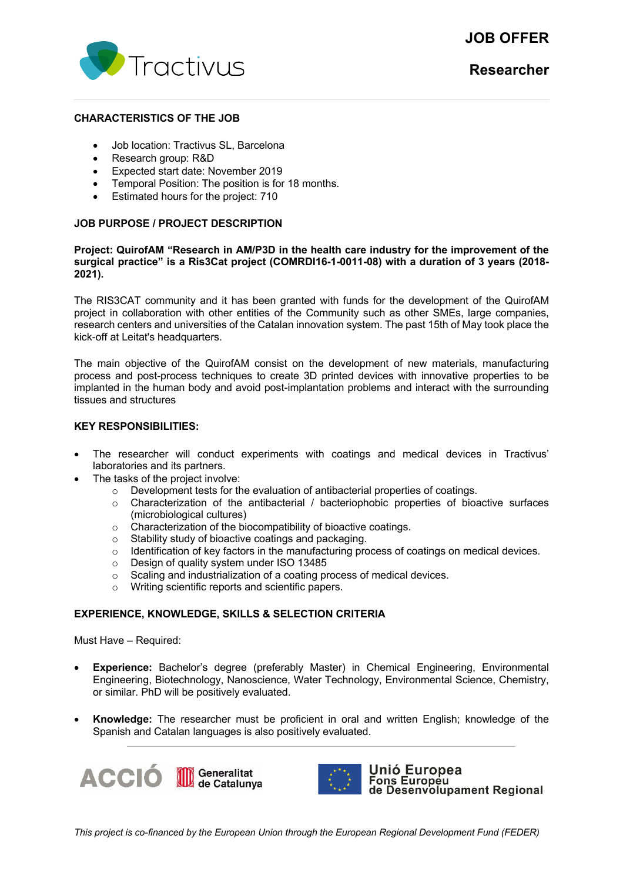# **JOB OFFER**



### **CHARACTERISTICS OF THE JOB**

- Job location: Tractivus SL, Barcelona
- Research group: R&D
- Expected start date: November 2019
- Temporal Position: The position is for 18 months.
- Estimated hours for the project: 710

# **JOB PURPOSE / PROJECT DESCRIPTION**

#### **Project: QuirofAM "Research in AM/P3D in the health care industry for the improvement of the surgical practice" is a Ris3Cat project (COMRDI16-1-0011-08) with a duration of 3 years (2018- 2021).**

The RIS3CAT community and it has been granted with funds for the development of the QuirofAM project in collaboration with other entities of the Community such as other SMEs, large companies, research centers and universities of the Catalan innovation system. The past 15th of May took place the kick-off at Leitat's headquarters.

The main objective of the QuirofAM consist on the development of new materials, manufacturing process and post-process techniques to create 3D printed devices with innovative properties to be implanted in the human body and avoid post-implantation problems and interact with the surrounding tissues and structures

# **KEY RESPONSIBILITIES:**

- The researcher will conduct experiments with coatings and medical devices in Tractivus' laboratories and its partners.
- The tasks of the project involve:
	- $\circ$  Development tests for the evaluation of antibacterial properties of coatings.
	- $\circ$  Characterization of the antibacterial / bacteriophobic properties of bioactive surfaces (microbiological cultures)
	- o Characterization of the biocompatibility of bioactive coatings.
	-
	- o Stability study of bioactive coatings and packaging.<br>
	o Identification of key factors in the manufacturing pro o Identification of key factors in the manufacturing process of coatings on medical devices.<br>  $\circ$  Design of quality system under ISO 13485
	-
	- Design of quality system under ISO 13485<br>○ Scaling and industrialization of a coating or Scaling and industrialization of a coating process of medical devices.
	- o Writing scientific reports and scientific papers.

#### **EXPERIENCE, KNOWLEDGE, SKILLS & SELECTION CRITERIA**

Must Have – Required:

- **Experience:** Bachelor's degree (preferably Master) in Chemical Engineering, Environmental Engineering, Biotechnology, Nanoscience, Water Technology, Environmental Science, Chemistry, or similar. PhD will be positively evaluated.
- **Knowledge:** The researcher must be proficient in oral and written English; knowledge of the Spanish and Catalan languages is also positively evaluated.





Unió Europea Fons Europeu<br>Tons Europeu<br>de Desenvolupament Regional